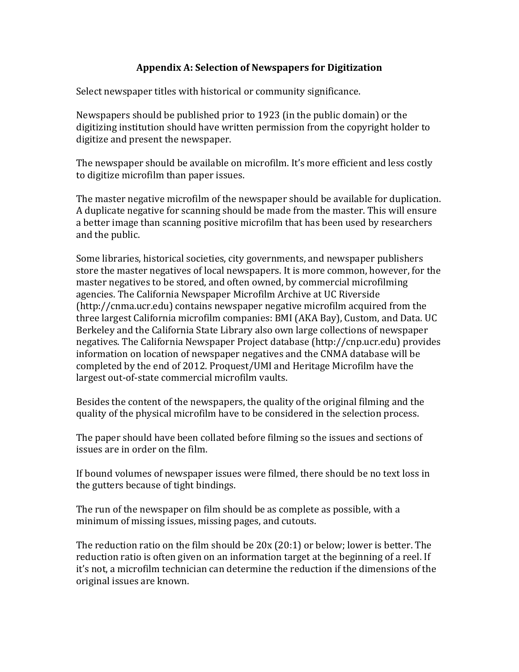## **Appendix A: Selection of Newspapers for Digitization**

Select newspaper titles with historical or community significance.

Newspapers should be published prior to 1923 (in the public domain) or the digitizing institution should have written permission from the copyright holder to digitize and present the newspaper.

The newspaper should be available on microfilm. It's more efficient and less costly to digitize microfilm than paper issues.

The master negative microfilm of the newspaper should be available for duplication. A duplicate negative for scanning should be made from the master. This will ensure a better image than scanning positive microfilm that has been used by researchers and the public.

Some libraries, historical societies, city governments, and newspaper publishers store the master negatives of local newspapers. It is more common, however, for the master negatives to be stored, and often owned, by commercial microfilming agencies. The California Newspaper Microfilm Archive at UC Riverside (http://cnma.ucr.edu) contains newspaper negative microfilm acquired from the three largest California microfilm companies: BMI (AKA Bay), Custom, and Data. UC Berkeley and the California State Library also own large collections of newspaper negatives. The California Newspaper Project database (http://cnp.ucr.edu) provides information on location of newspaper negatives and the CNMA database will be completed by the end of 2012. Proquest/UMI and Heritage Microfilm have the largest out-of-state commercial microfilm vaults.

Besides the content of the newspapers, the quality of the original filming and the quality of the physical microfilm have to be considered in the selection process.

The paper should have been collated before filming so the issues and sections of issues are in order on the film.

If bound volumes of newspaper issues were filmed, there should be no text loss in the gutters because of tight bindings.

The run of the newspaper on film should be as complete as possible, with a minimum of missing issues, missing pages, and cutouts.

The reduction ratio on the film should be  $20x(20:1)$  or below; lower is better. The reduction ratio is often given on an information target at the beginning of a reel. If it's not, a microfilm technician can determine the reduction if the dimensions of the original issues are known.